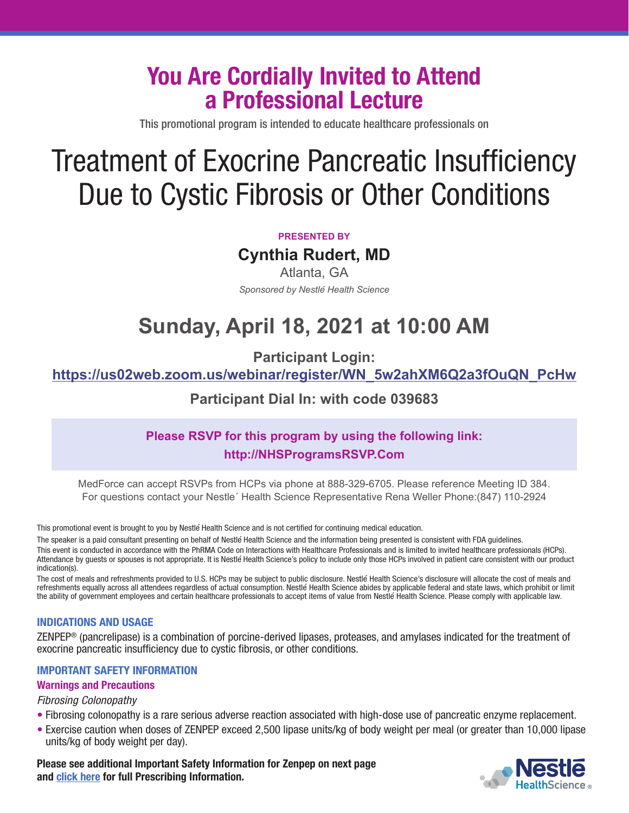## **You Are Cordially Invited to Attend a Professional Lecture**

This promotional program is intended to educate healthcare professionals on

# Treatment of Exocrine Pancreatic Insufficiency Due to Cystic Fibrosis or Other Conditions

#### **PRESENTED BY**

**Cynthia Rudert, MD** 

Atlanta, GA *Sponsored by Nestle´ Health Science* 

## **Sunday, April 18, 2021 at 10:00 AM**

**Participant Login:** 

**https://us02web.zoom.us/webinar/register/WN\_5w2ahXM6Q2a3fOuQN\_PcHw**

**Participant Dial In: with code 039683** 

### **Please RSVP for this program by using the following link: http://NHSProgramsRSVP.Com**

MedForce can accept RSVPs from HCPs via phone at 888-329-6705. Please reference Meeting ID 384. For questions contact your Nestle´ Health Science Representative Rena Weller Phone:(847) 110-2924

This promotional event is brought to you by Nestle´Health Science and is not certified for continuing medical education.

The speaker is a paid consultant presenting on behalf of Nestle´Health Science and the information being presented is consistent with FDA guidelines. This event is conducted in accordance with the PhRMA Code on Interactions with Healthcare Professionals and is limited to invited healthcare professionals (HCPs). Attendance by guests or spouses is not appropriate. It is Nestle Health Science's policy to include only those HCPs involved in patient care consistent with our product indication(s).

The cost of meals and refreshments provided to U.S. HCPs may be subject to public disclosure. Nestle´Health Science's disclosure will allocate the cost of meals and refreshments equally across all attendees regardless of actual consumption. Nestle´Health Science abides by applicable federal and state laws, which prohibit or limit the ability of government employees and certain healthcare professionals to accept items of value from Nestle´Health Science. Please comply with applicable law.

#### **INDICATIONS AND USAGE**

ZENPEP® (pancrelipase) is a combination of porcine-derived lipases, proteases, and amylases indicated for the treatment of exocrine pancreatic insufficiency due to cystic fibrosis, or other conditions.

#### **IMPORTANT SAFETY INFORMATION**

#### **Warnings and Precautions**

#### Fibrosing Colonopathy

- Fibrosing colonopathy is a rare serious adverse reaction associated with high-dose use of pancreatic enzyme replacement.
- Exercise caution when doses of ZENPEP exceed 2,500 lipase units/kg of body weight per meal (or greater than 10,000 lipase units/kg of body weight per day).

**Please see additional Important Safety Information for Zenpep on next page [and click here for full Prescribing Information.](https://www.zenpep.com/sites/g/files/lpfasj481/files/2020-05/ZENPEP_PI.pdf)**